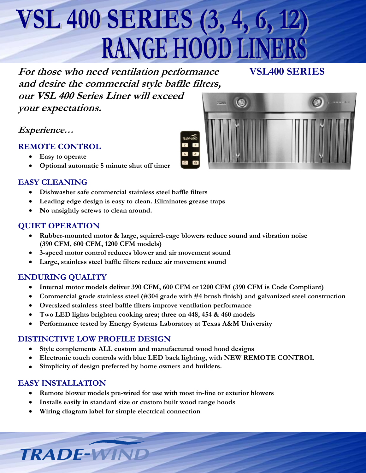# **VSL 400 SERIES (3, 4, 6, 12) RANGE HOOD LIN**

**For those who need ventilation performance VSL400 SERIES and desire the commercial style baffle filters,**

**our VSL 400 Series Liner will exceed your expectations.**

**Experience…**

#### **REMOTE CONTROL**

- **Easy to operate**
- **Optional automatic 5 minute shut off timer**

#### **EASY CLEANING**

- **Dishwasher safe commercial stainless steel baffle filters**
- **Leading edge design is easy to clean. Eliminates grease traps**
- **No unsightly screws to clean around.**

#### **QUIET OPERATION**

- **Rubber-mounted motor & large, squirrel-cage blowers reduce sound and vibration noise (390 CFM, 600 CFM, 1200 CFM models)**
- **3-speed motor control reduces blower and air movement sound**
- **Large, stainless steel baffle filters reduce air movement sound**

#### **ENDURING QUALITY**

- **Internal motor models deliver 390 CFM, 600 CFM or 1200 CFM (390 CFM is Code Compliant)**
- **Commercial grade stainless steel (#304 grade with #4 brush finish) and galvanized steel construction**
- **Oversized stainless steel baffle filters improve ventilation performance**
- **Two LED lights brighten cooking area; three on 448, 454 & 460 models**
- **Performance tested by Energy Systems Laboratory at Texas A&M University**

## **DISTINCTIVE LOW PROFILE DESIGN**

- **Style complements ALL custom and manufactured wood hood designs**
- **Electronic touch controls with blue LED back lighting, with NEW REMOTE CONTROL**
- **Simplicity of design preferred by home owners and builders.**

## **EASY INSTALLATION**

**TRADE-WIN** 

- **Remote blower models pre-wired for use with most in-line or exterior blowers**
- **Installs easily in standard size or custom built wood range hoods**
- **Wiring diagram label for simple electrical connection**